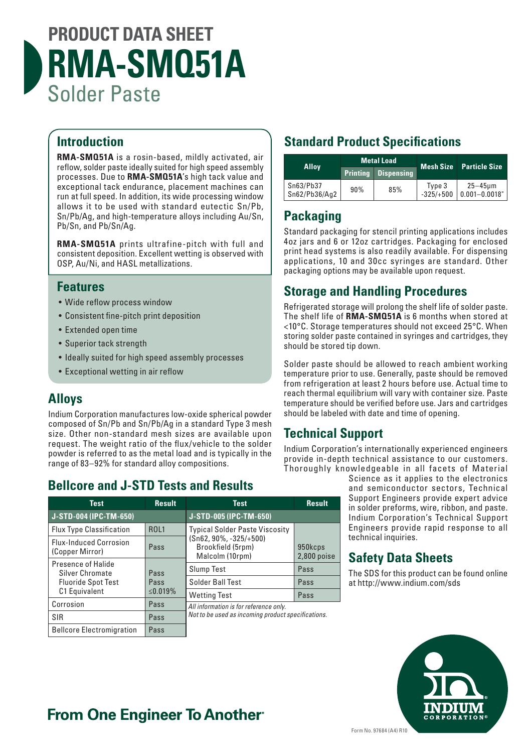

### **Introduction**

**RMA-SMQ51A** is a rosin-based, mildly activated, air reflow, solder paste ideally suited for high speed assembly processes. Due to **RMA-SMQ51A**'s high tack value and exceptional tack endurance, placement machines can run at full speed. In addition, its wide processing window allows it to be used with standard eutectic Sn/Pb, Sn/Pb/Ag, and high-temperature alloys including Au/Sn, Pb/Sn, and Pb/Sn/Ag.

**RMA-SMQ51A** prints ultrafine-pitch with full and consistent deposition. Excellent wetting is observed with OSP, Au/Ni, and HASL metallizations.

### **Features**

- Wide reflow process window
- Consistent fine-pitch print deposition
- Extended open time
- Superior tack strength
- Ideally suited for high speed assembly processes
- Exceptional wetting in air reflow

### **Alloys**

Indium Corporation manufactures low-oxide spherical powder composed of Sn/Pb and Sn/Pb/Ag in a standard Type 3 mesh size. Other non-standard mesh sizes are available upon request. The weight ratio of the flux/vehicle to the solder powder is referred to as the metal load and is typically in the range of 83–92% for standard alloy compositions.

#### **Test Result J-STD-005 (IPC-TM-650)** Typical Solder Paste Viscosity (Sn62, 90%, -325/+500) Brookfield (5rpm) **Test Result J-STD-**Flux Ty Flux-Ind (Copper Presen

### **Bellcore and J-STD Tests and Results**

| nesu                                                | nesult                                               | nest                                                                                         | nesult                   |  |
|-----------------------------------------------------|------------------------------------------------------|----------------------------------------------------------------------------------------------|--------------------------|--|
| J-STD-004 (IPC-TM-650)                              |                                                      | J-STD-005 (IPC-TM-650)                                                                       |                          |  |
| <b>Flux Type Classification</b>                     | <b>ROL1</b><br><b>Typical Solder Paste Viscosity</b> |                                                                                              |                          |  |
| <b>Flux-Induced Corrosion</b><br>(Copper Mirror)    | Pass                                                 | $(Sn62, 90\%, -325/+500)$<br>Brookfield (5rpm)<br>Malcolm (10rpm)                            | 950kcps<br>$2,800$ poise |  |
| <b>Presence of Halide</b><br><b>Silver Chromate</b> | Pass<br>Pass<br>≤0.019%                              | Slump Test                                                                                   | Pass                     |  |
| <b>Fluoride Spot Test</b>                           |                                                      | Solder Ball Test                                                                             | Pass                     |  |
| C1 Equivalent                                       |                                                      | <b>Wetting Test</b>                                                                          | Pass                     |  |
| Corrosion                                           | Pass                                                 | All information is for reference only.<br>Not to be used as incoming product specifications. |                          |  |
| <b>SIR</b>                                          | Pass                                                 |                                                                                              |                          |  |

Bellcore Electromigration | Pass

## **Standard Product Specifications**

|                            | <b>Metal Load</b> |                            | <b>Mesh Size</b>      |                                   |
|----------------------------|-------------------|----------------------------|-----------------------|-----------------------------------|
| <b>Alloy</b>               |                   | <b>Printing Dispensing</b> |                       | <b>Particle Size</b>              |
| Sn63/Pb37<br>Sn62/Pb36/Aq2 | 90%               | 85%                        | Type 3<br>$-325/+500$ | $25 - 45$ µm<br>$0.001 - 0.0018"$ |

### **Packaging**

Standard packaging for stencil printing applications includes 4oz jars and 6 or 12oz cartridges. Packaging for enclosed print head systems is also readily available. For dispensing applications, 10 and 30cc syringes are standard. Other packaging options may be available upon request.

### **Storage and Handling Procedures**

Refrigerated storage will prolong the shelf life of solder paste. The shelf life of **RMA-SMQ51A** is 6 months when stored at <10°C. Storage temperatures should not exceed 25°C. When storing solder paste contained in syringes and cartridges, they should be stored tip down.

Solder paste should be allowed to reach ambient working temperature prior to use. Generally, paste should be removed from refrigeration at least 2 hours before use. Actual time to reach thermal equilibrium will vary with container size. Paste temperature should be verified before use. Jars and cartridges should be labeled with date and time of opening.

## **Technical Support**

Indium Corporation's internationally experienced engineers provide in-depth technical assistance to our customers. Thoroughly knowledgeable in all facets of Material

Science as it applies to the electronics and semiconductor sectors, Technical Support Engineers provide expert advice in solder preforms, wire, ribbon, and paste. Indium Corporation's Technical Support Engineers provide rapid response to all technical inquiries.

## **Safety Data Sheets**

The SDS for this product can be found online at http://www.indium.com/sds



## **From One Engineer To Another**